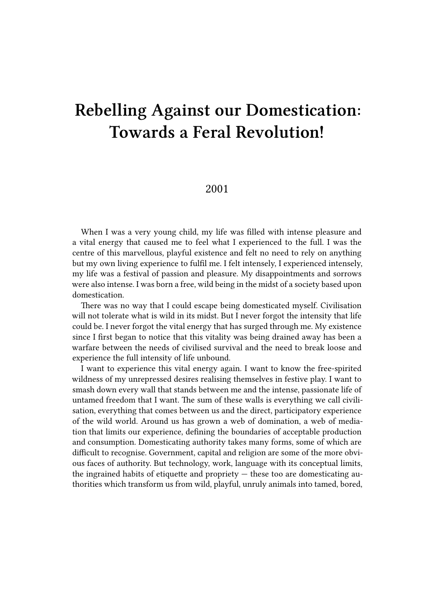## **Rebelling Against our Domestication: Towards a Feral Revolution!**

## 2001

When I was a very young child, my life was filled with intense pleasure and a vital energy that caused me to feel what I experienced to the full. I was the centre of this marvellous, playful existence and felt no need to rely on anything but my own living experience to fulfil me. I felt intensely, I experienced intensely, my life was a festival of passion and pleasure. My disappointments and sorrows were also intense. I was born a free, wild being in the midst of a society based upon domestication.

There was no way that I could escape being domesticated myself. Civilisation will not tolerate what is wild in its midst. But I never forgot the intensity that life could be. I never forgot the vital energy that has surged through me. My existence since I first began to notice that this vitality was being drained away has been a warfare between the needs of civilised survival and the need to break loose and experience the full intensity of life unbound.

I want to experience this vital energy again. I want to know the free-spirited wildness of my unrepressed desires realising themselves in festive play. I want to smash down every wall that stands between me and the intense, passionate life of untamed freedom that I want. The sum of these walls is everything we call civilisation, everything that comes between us and the direct, participatory experience of the wild world. Around us has grown a web of domination, a web of mediation that limits our experience, defining the boundaries of acceptable production and consumption. Domesticating authority takes many forms, some of which are difficult to recognise. Government, capital and religion are some of the more obvious faces of authority. But technology, work, language with its conceptual limits, the ingrained habits of etiquette and propriety — these too are domesticating authorities which transform us from wild, playful, unruly animals into tamed, bored,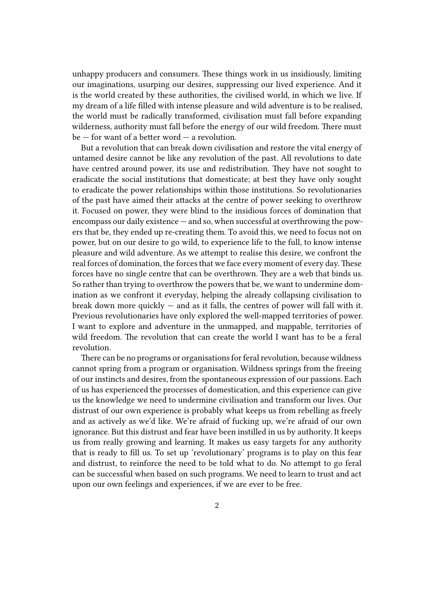unhappy producers and consumers. These things work in us insidiously, limiting our imaginations, usurping our desires, suppressing our lived experience. And it is the world created by these authorities, the civilised world, in which we live. If my dream of a life filled with intense pleasure and wild adventure is to be realised, the world must be radically transformed, civilisation must fall before expanding wilderness, authority must fall before the energy of our wild freedom. There must  $be$  – for want of a better word – a revolution.

But a revolution that can break down civilisation and restore the vital energy of untamed desire cannot be like any revolution of the past. All revolutions to date have centred around power, its use and redistribution. They have not sought to eradicate the social institutions that domesticate; at best they have only sought to eradicate the power relationships within those institutions. So revolutionaries of the past have aimed their attacks at the centre of power seeking to overthrow it. Focused on power, they were blind to the insidious forces of domination that encompass our daily existence — and so, when successful at overthrowing the powers that be, they ended up re-creating them. To avoid this, we need to focus not on power, but on our desire to go wild, to experience life to the full, to know intense pleasure and wild adventure. As we attempt to realise this desire, we confront the real forces of domination, the forces that we face every moment of every day. These forces have no single centre that can be overthrown. They are a web that binds us. So rather than trying to overthrow the powers that be, we want to undermine domination as we confront it everyday, helping the already collapsing civilisation to break down more quickly  $-$  and as it falls, the centres of power will fall with it. Previous revolutionaries have only explored the well-mapped territories of power. I want to explore and adventure in the unmapped, and mappable, territories of wild freedom. The revolution that can create the world I want has to be a feral revolution.

There can be no programs or organisations for feral revolution, because wildness cannot spring from a program or organisation. Wildness springs from the freeing of our instincts and desires, from the spontaneous expression of our passions. Each of us has experienced the processes of domestication, and this experience can give us the knowledge we need to undermine civilisation and transform our lives. Our distrust of our own experience is probably what keeps us from rebelling as freely and as actively as we'd like. We're afraid of fucking up, we're afraid of our own ignorance. But this distrust and fear have been instilled in us by authority. It keeps us from really growing and learning. It makes us easy targets for any authority that is ready to fill us. To set up 'revolutionary' programs is to play on this fear and distrust, to reinforce the need to be told what to do. No attempt to go feral can be successful when based on such programs. We need to learn to trust and act upon our own feelings and experiences, if we are ever to be free.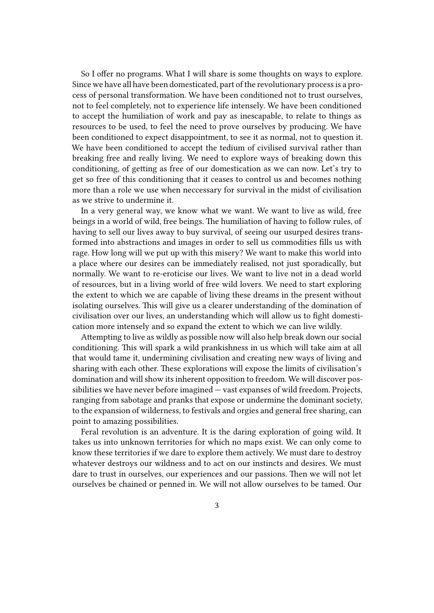So I offer no programs. What I will share is some thoughts on ways to explore. Since we have all have been domesticated, part of the revolutionary process is a process of personal transformation. We have been conditioned not to trust ourselves, not to feel completely, not to experience life intensely. We have been conditioned to accept the humiliation of work and pay as inescapable, to relate to things as resources to be used, to feel the need to prove ourselves by producing. We have been conditioned to expect disappointment, to see it as normal, not to question it. We have been conditioned to accept the tedium of civilised survival rather than breaking free and really living. We need to explore ways of breaking down this conditioning, of getting as free of our domestication as we can now. Let's try to get so free of this conditioning that it ceases to control us and becomes nothing more than a role we use when neccessary for survival in the midst of civilisation as we strive to undermine it.

In a very general way, we know what we want. We want to live as wild, free beings in a world of wild, free beings. The humiliation of having to follow rules, of having to sell our lives away to buy survival, of seeing our usurped desires transformed into abstractions and images in order to sell us commodities fills us with rage. How long will we put up with this misery? We want to make this world into a place where our desires can be immediately realised, not just sporadically, but normally. We want to re-eroticise our lives. We want to live not in a dead world of resources, but in a living world of free wild lovers. We need to start exploring the extent to which we are capable of living these dreams in the present without isolating ourselves. This will give us a clearer understanding of the domination of civilisation over our lives, an understanding which will allow us to fight domestication more intensely and so expand the extent to which we can live wildly.

Attempting to live as wildly as possible now will also help break down our social conditioning. This will spark a wild prankishness in us which will take aim at all that would tame it, undermining civilisation and creating new ways of living and sharing with each other. These explorations will expose the limits of civilisation's domination and will show its inherent opposition to freedom. We will discover possibilities we have never before imagined — vast expanses of wild freedom. Projects, ranging from sabotage and pranks that expose or undermine the dominant society, to the expansion of wilderness, to festivals and orgies and general free sharing, can point to amazing possibilities.

Feral revolution is an adventure. It is the daring exploration of going wild. It takes us into unknown territories for which no maps exist. We can only come to know these territories if we dare to explore them actively. We must dare to destroy whatever destroys our wildness and to act on our instincts and desires. We must dare to trust in ourselves, our experiences and our passions. Then we will not let ourselves be chained or penned in. We will not allow ourselves to be tamed. Our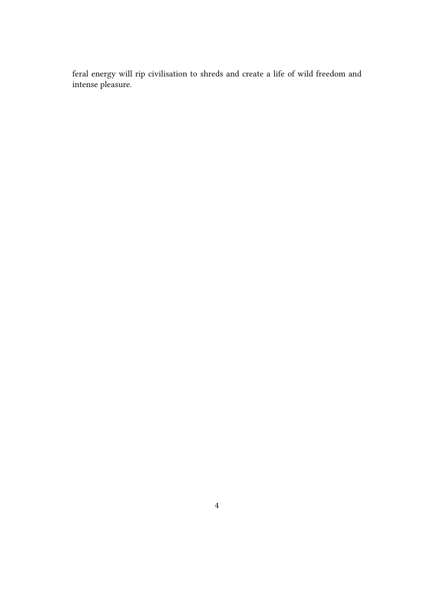feral energy will rip civilisation to shreds and create a life of wild freedom and intense pleasure.